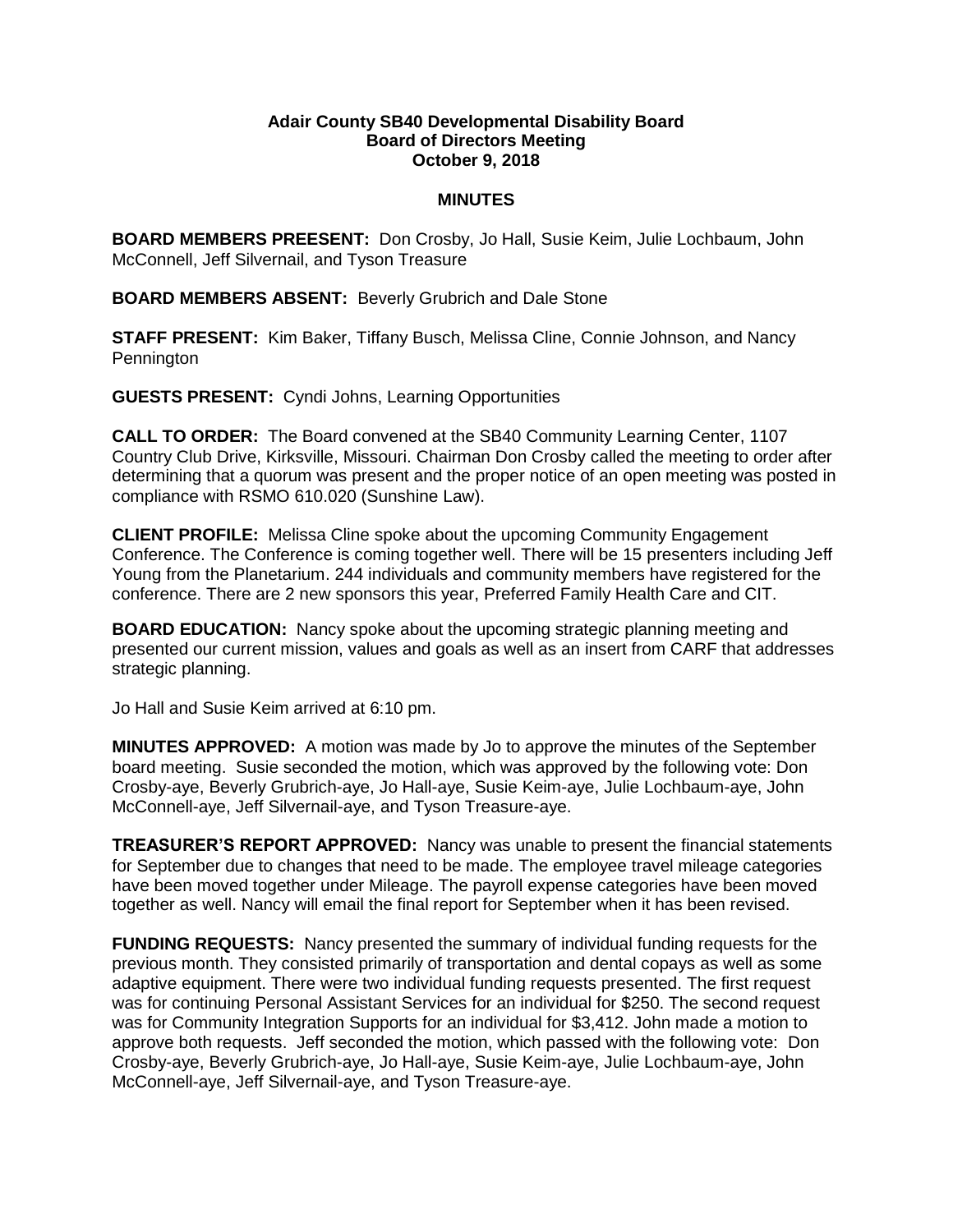## **Adair County SB40 Developmental Disability Board Board of Directors Meeting October 9, 2018**

## **MINUTES**

**BOARD MEMBERS PREESENT:** Don Crosby, Jo Hall, Susie Keim, Julie Lochbaum, John McConnell, Jeff Silvernail, and Tyson Treasure

**BOARD MEMBERS ABSENT:** Beverly Grubrich and Dale Stone

**STAFF PRESENT:** Kim Baker, Tiffany Busch, Melissa Cline, Connie Johnson, and Nancy **Pennington** 

**GUESTS PRESENT:** Cyndi Johns, Learning Opportunities

**CALL TO ORDER:** The Board convened at the SB40 Community Learning Center, 1107 Country Club Drive, Kirksville, Missouri. Chairman Don Crosby called the meeting to order after determining that a quorum was present and the proper notice of an open meeting was posted in compliance with RSMO 610.020 (Sunshine Law).

**CLIENT PROFILE:** Melissa Cline spoke about the upcoming Community Engagement Conference. The Conference is coming together well. There will be 15 presenters including Jeff Young from the Planetarium. 244 individuals and community members have registered for the conference. There are 2 new sponsors this year, Preferred Family Health Care and CIT.

**BOARD EDUCATION:** Nancy spoke about the upcoming strategic planning meeting and presented our current mission, values and goals as well as an insert from CARF that addresses strategic planning.

Jo Hall and Susie Keim arrived at 6:10 pm.

**MINUTES APPROVED:** A motion was made by Jo to approve the minutes of the September board meeting. Susie seconded the motion, which was approved by the following vote: Don Crosby-aye, Beverly Grubrich-aye, Jo Hall-aye, Susie Keim-aye, Julie Lochbaum-aye, John McConnell-aye, Jeff Silvernail-aye, and Tyson Treasure-aye.

**TREASURER'S REPORT APPROVED:** Nancy was unable to present the financial statements for September due to changes that need to be made. The employee travel mileage categories have been moved together under Mileage. The payroll expense categories have been moved together as well. Nancy will email the final report for September when it has been revised.

**FUNDING REQUESTS:** Nancy presented the summary of individual funding requests for the previous month. They consisted primarily of transportation and dental copays as well as some adaptive equipment. There were two individual funding requests presented. The first request was for continuing Personal Assistant Services for an individual for \$250. The second request was for Community Integration Supports for an individual for \$3,412. John made a motion to approve both requests. Jeff seconded the motion, which passed with the following vote: Don Crosby-aye, Beverly Grubrich-aye, Jo Hall-aye, Susie Keim-aye, Julie Lochbaum-aye, John McConnell-aye, Jeff Silvernail-aye, and Tyson Treasure-aye.